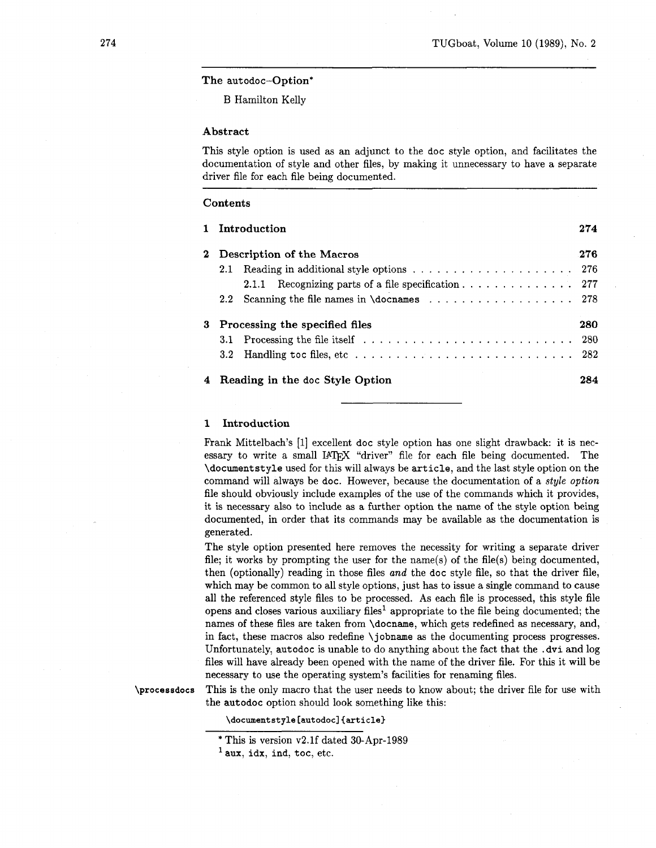## The autodoc-Option\*

B Hamilton Kelly

#### Abstract

This style option is used as an adjunct to the doc style option, and facilitates the documentation of style and other files, by making it unnecessary to have a separate driver file for each file being documented.

|            | 1 Introduction                                                                                    |  | 274 |
|------------|---------------------------------------------------------------------------------------------------|--|-----|
| $\bf{2}^-$ | Description of the Macros                                                                         |  |     |
|            | Reading in additional style options $\ldots \ldots \ldots \ldots \ldots \ldots \ldots 276$<br>2.1 |  |     |
|            | Recognizing parts of a file specification $\ldots \ldots \ldots \ldots 277$<br>2.1.1              |  |     |
|            | 2.2 Scanning the file names in \docnames 278                                                      |  |     |
| 3          | Processing the specified files                                                                    |  | 280 |
|            |                                                                                                   |  |     |
|            |                                                                                                   |  |     |
|            | 4 Reading in the doc Style Option                                                                 |  | 284 |

#### Introduction  $\mathbf{1}$

Frank Mittelbach's [I] excellent doc style option has one slight drawback: it is necessary to write a small **MQjX** "driver" file for each file being documented. The \documentstyle used for this will always be article, and the last style option on the command will always be doc. However, because the documentation of a style **option**  file should obviously include examples of the use of the commands which it provides, it is necessary also to include as a further option the name of the style option being documented, in order that its commands may be available as the documentation is generated.

The style option presented here removes the necessity for writing a separate driver file; it works by prompting the user for the name(s) of the file(s) being documented, then (optionally) reading in those files and the doc style file, so that the driver file, which may be common to all style options, just has to issue a single command to cause all the referenced style files to be processed. As each file is processed, this style file opens and closes various auxiliary files<sup>1</sup> appropriate to the file being documented; the names of these files are taken from \docname, which gets redefined as necessary, and, in fact, these macros also redefine \jobname as the documenting process progresses. Unfortunately, autodoc is unable to do anything about the fact that the .dvi and log files will have already been opened with the name of the driver file. For this it will be necessary to use the operating system's facilities for renaming files.

\processdocs

This is the only macro that the user needs to know about; the driver file for use with the autodoc option should look something like this:

# **\documentstyle [autodoc] {article)**

<sup>\*</sup> This is version v2.lf dated 30-Apr-1989 ' **aux,** idx, ind, toc, etc.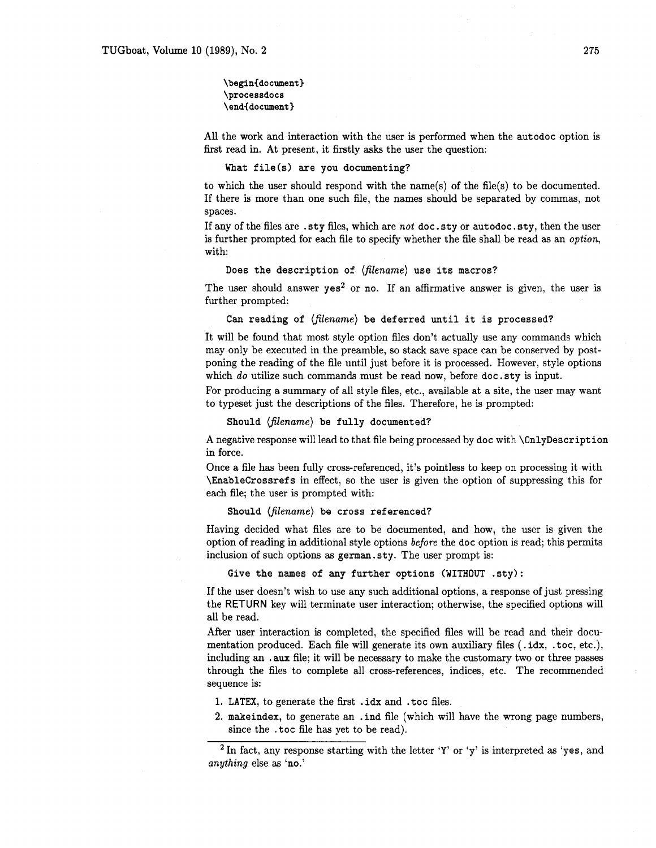# \begin{document} \processdocs \end{document}

All the work and interaction with the user is performed when the autodoc option is first read in. At present, it firstly asks the user the question:

## What file(s) are you documenting?

to which the user should respond with the name(s) of the file(s) to be documented. If there is more than one such file, the names should be separated by commas, not spaces.

If any of the files are .sty files, which are not doc.sty or autodoc.sty, then the user is further prompted for each file to specify whether the file shall be read as an option, with:

#### Does the description of  $\langle filename \rangle$  use its macros?

The user should answer  $yes<sup>2</sup>$  or no. If an affirmative answer is given, the user is further prompted:

Can reading of (filename) be deferred until it is processed?

It will be found that most style option files don't actually use any commands which may only be executed in the preamble, so stack save space can be conserved by postponing the reading of the file until just before it is processed. However, style options which do utilize such commands must be read now, before  $doc.sty$  is input.

For producing a summary of all style files, etc., available at a site, the user may want to typeset just the descriptions of the files. Therefore, he is prompted:

Should  $\langle filename\rangle$  be fully documented?

A negative response will lead to that file being processed by doc with \OnlyDescription in force.

Once a file has been fully cross-referenced, it's pointless to keep on processing it with \Enablecrossrefs in effect, so the user is given the option of suppressing this for each file; the user is prompted with:

Should (filename) be cross referenced?

Having decided what files are to be documented, and how, the user is given the option of reading in additional style options before the doc option is read; this permits inclusion of such options as german. sty. The user prompt is:

Give the names of any further options (WITHOUT .sty):

If the user doesn't wish to use any such additional options, a response of just pressing the RETURN key will terminate user interaction; otherwise, the specified options will all be read.

After user interaction is completed, the specified files will be read and their documentation produced. Each file will generate its own auxiliary files (. idx, .toc, etc.), including an . aux file; it will be necessary to make the customary two or three passes through the files to complete all cross-references, indices, etc. The recommended sequence is:

- 1. LATEX, to generate the first .idx and .toc files.
- **2.** makeindex, to generate an . ind file (which will have the wrong page numbers, since the . toc file has yet to be read).

<sup>&</sup>lt;sup>2</sup> In fact, any response starting with the letter 'Y' or 'y' is interpreted as 'yes, and anything else as 'no.'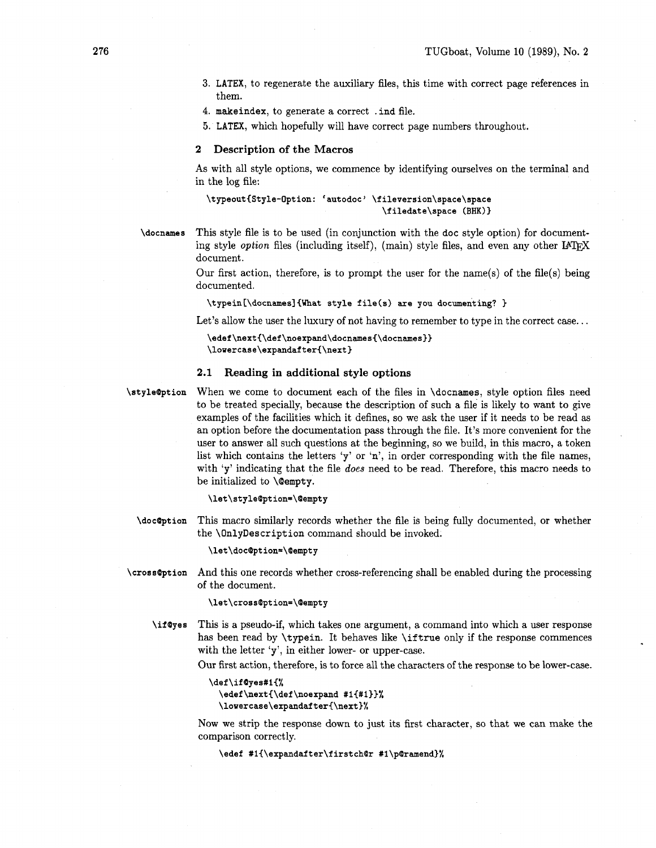LATEX, to regenerate the auxiliary files, this time with correct page references in them.

makeindex, to generate a correct . ind file.

LATEX, which hopefully will have correct page numbers throughout.

#### **2 Description of the Macros**

As with all style options, we commence by identifying ourselves on the terminal and in the log file:

# **\typeout{Style-Option: 'autodoc' \fileversion\space\space \f iledate\space (BHK) 1**

**\docnames** 

This style file is to be used (in conjunction with the doc style option) for documenting style *option* files (including itself), (main) style files, and even any other  $IATFX$ document.

Our first action, therefore, is to prompt the user for the name(s) of the file(s) being documented.

**\typein[\docnamesl(What style file(s) are you documenting?** )

Let's allow the user the luxury of not having to remember to type in the correct case...

```
\edef\next{\def\noexpand\docnames{\docnames}}
\lowercase\expandafter{\next}
```
#### **2.1 Reading in additional style options**

**\style@ption**  When we come to document each of the files in \docnames, style option files need to be treated specially, because the description of such a file is likely to want to give examples of the facilities which it defines, so we ask the user if it needs to be read as an option before the documentation pass through the file. It's more convenient for the user to answer all such questions at the beginning, so we build, in this macro, a token list which contains the letters 'y' or 'n', in order corresponding with the file names, with 'y' indicating that the file *does* need to be read. Therefore, this macro needs to be initialized to \@empty.

**\let\style@ption=\@empty** 

**\docapt ion**  This macro similarly records whether the file is being fully documented, or whether the \OnlyDescription command should be invoked.

\let\doc@ption=\@empty

**\cross@ption**  And this one records whether cross-referencing shall be enabled during the processing of the document.

\let\cross@ption=\@empty

**\if @yes**  This is a pseudo-if, which takes one argument, a command into which a user response has been read by \typein. It behaves like \iftrue only if the response commences with the letter 'y', in either lower- or upper-case.

Our first action, therefore, is to force all the characters of the response to be lower-case.

```
\def\if@yes#1{%
  \edef\next{\def\noexpand #1{#1}}%
  \lowercase\expandafter{\next}%
```
Now we strip the response down to just its first character, so that we can make the comparison correctly.

\edef #1{\expandafter\firstch@r #1\p@ramend}%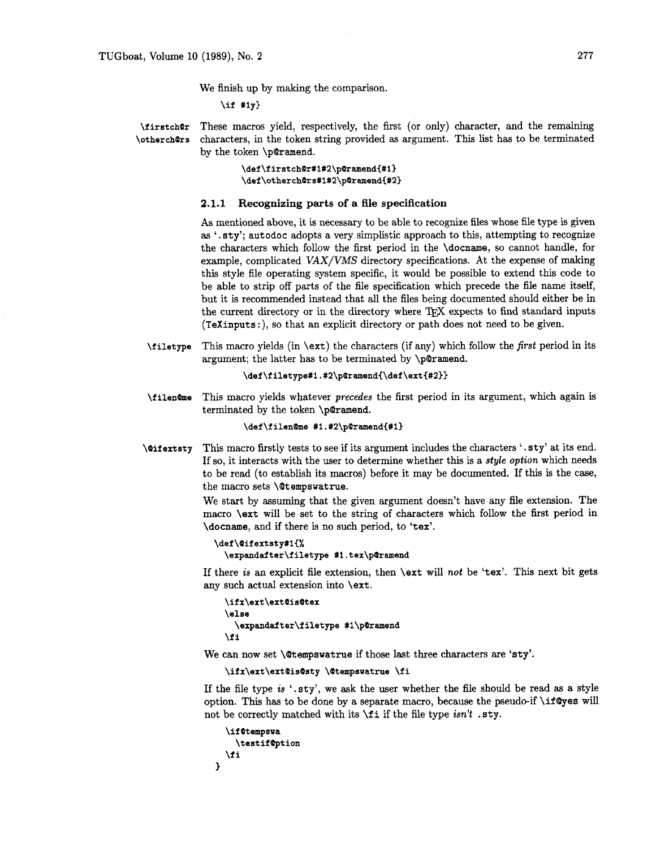We finish up by making the comparison,

**\if #ly}** 

**\firstch@r** These macros yield, respectively, the first (or only) character, and the remaining **\otherchars** characters, in the token string provided as argument. This list has to be terminated by the token \p@ramend.

> \def\firstch@r#1#2\p@ramend{#1} \def\otherch@rs#1#2\p@ramend{#2}

## **2.1.1 Recognizing parts of a file specification**

As mentioned above, it is necessary to be able to recognize files whose file type is given as ' . sty'; aut odoc adopts a very simplistic approach to this, attempting to recognize the characters which follow the first period in the \docname, so cannot handle, for example, complicated *VAX/VMS* directory specifications. At the expense of making this style file operating system specific, it would be possible to extend this code to be able to strip off parts of the file specification which precede the file name itself, but it is recommended instead that all the files being documented should either be in the current directory or in the directory where TFX expects to find standard inputs (TeXinputs :), so that an explicit directory or path does not need to be given.

**\filetype** This macro yields (in \ext) the characters (if any) which follow the *first* period in its argument; the latter has to be terminated by \p@ramend.

```
\def \f iletype#l . #2\p@ramend{\def \ext{#2))
```
**\filen@me** This macro yields whatever *precedes* the first period in its argument, which again is terminated by the token \p@ramend.

**\def \f ilenhe #l** . **#2\p@ramend{#l)** 

**\@if extsty** This macro firstly tests to see if its argument includes the characters ' .sty' at its end. If so, it interacts with the user to determine whether this is a *style option* which needs to be read (to establish its macros) before it may be documented. If this is the case, the macro sets \@tempswatrue.

> We start by assuming that the given argument doesn't have any file extension. The macro \ext will be set to the string of characters which follow the fist period in \docname, and if there is no such period, to 'tex'.

```
\def \@if extsty#l{% 
  \expandafter\f iletype #l . tex\p@ramend
```
If there *is* an explicit file extension, then \ext will *not* be 'tex'. This next bit gets any such actual extension into \ext.

```
\ifx\ext\ext@is@tex 
\else 
  \expand& ter\f iletype #l\p@ramend 
\f i
```
We can now set **\@tempswatrue** if those last three characters are 'sty'.

\ifx\ext\ext@is@sty \@tempswatrue \fi

If the file type *is* '.sty', we ask the user whether the file should be read as a style option. This has to be done by a separate macro, because the pseudo-if \ifQyes **will**  not be correctly matched with its \f i if the file type *isn't* .sty.

```
\if@tempswa
     \testif@ption
   \fi
\mathbf{)}
```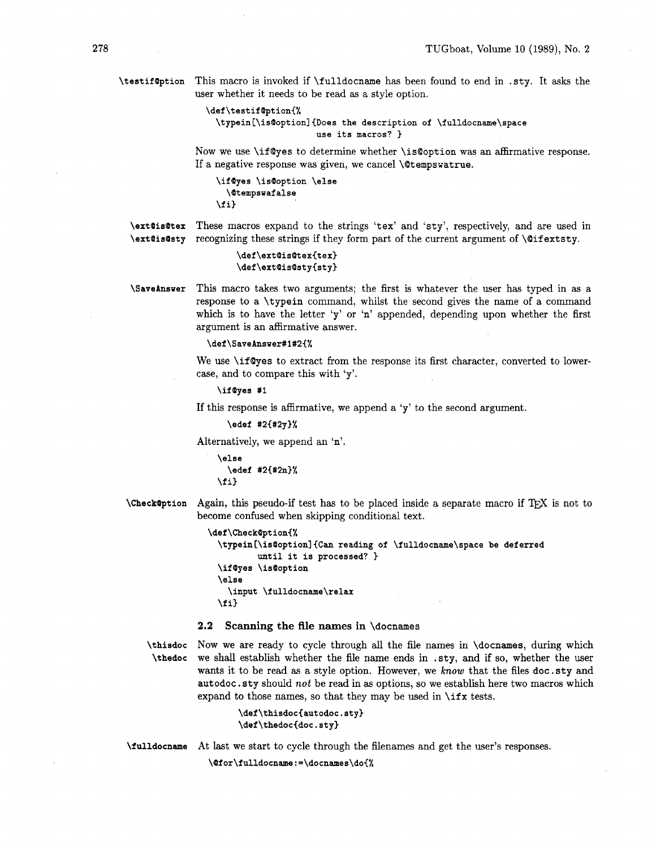**\testifaption** This macro is invoked if \fulldocname has been found to end in .sty. It asks the user whether it needs to be read as a style option.

```
\def \testif Option{% 
  \typein [\isBoption] {Does the description of \fulldocname\space 
                       use its macros? )
```
Now we use \ifQyes to determine whether \isQoption was an affirmative response. If a negative response was given, we cancel \@tempswatrue.

```
\ifayes \is@option \else 
  \@tempswaf alse 
\f i3
```
**\ext@is@tex** These macros expand to the strings 'tex' and 'sty', respectively, and are used in **\ext@is@sty** recognizing these strings if they form part of the current argument of **\@ifextsty**.

```
\def\extQisBtex{tex) 
\def\ext@isQsty<sty)
```
**\SaveAnsver** This macro takes two arguments; the first is whatever the user has typed in as a response to a \typein command, whilst the second gives the name of a command which is to have the letter 'y' or 'n' appended, depending upon whether the first argument is an affirmative answer.

#### **\def \SaveAnswer#1#2{%**

We use \if@yes to extract from the response its first character, converted to lowercase, and to compare this with 'y'.

**\ifayes #1** 

If this response is affirmative, we append a 'y' to the second argument.

```
\edef #2{#2y)%
```
Alternatively, we append an 'n'.

\else \edef #2{#2n}% \fi}

**\Check@ption** Again, this pseudo-if test has to be placed inside a separate macro if TFX is not to become confused when skipping conditional text.

```
\def\CheckBption{% 
  \typein [\is@option] {Can reading of \fulldocname\space be deferred 
          until it is processed? 3 
  \ifayes \isQoption 
  \else 
    \input \fulldocname\relax 
  \f i)
```
#### **2.2 Scanning the file names** in \docnames

**\thisdoc** Now we are ready to cycle through all the file names in \docnames, during which **\thedoc** we shall establish whether the file name ends in . sty, and if so, whether the user wants it to be read as a style option. However, we **know** that the files doc.sty and autodoc. sty should not be read in as options, so we establish here two macros which expand to those names, so that they may be used in  $\iota$  if x tests.

```
\def\thisdoc{autodoc.sty} 
\def\thedoc{doc.sty)
```
**\fulldocname** At last we start to cycle through the filenames and get the user's responses.

\@for\fulldocname:=\docnames\do{%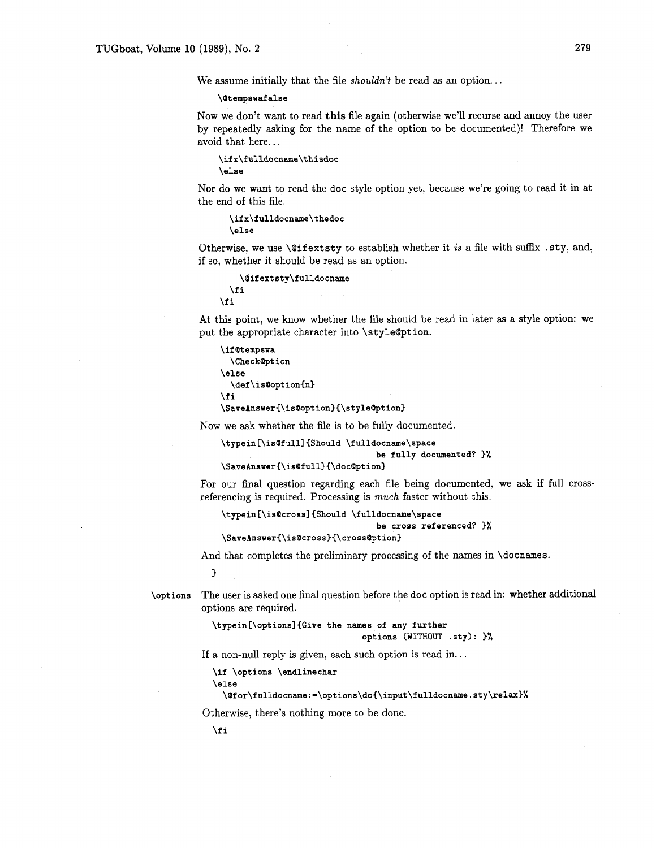We assume initially that the file *shouldn't* be read as an option.. .

#### **\@tempswaf alse**

Now we don't want to read **this** file again (otherwise we'll recurse and annoy the user by repeatedly asking for the name of the option to be documented)! Therefore we avoid that here. . .

\ifx\fulldocname\thisdoc  $\lambda$ else

Nor do we want to read the doc style option yet, because we're going to read it in at the end of this file.

\ifx\fulldocname\thedoc \else

Otherwise, we use *\@ifextsty* to establish whether it *is* a file with suffix .sty, and, if so, whether it should be read as an option.

```
\@ifextsty\fulldocname
  \sqrt{fi}\fi
```
At this point, we know whether the file should be read in later as a style option: we put the appropriate character into \styleQption.

```
\if@tempsua 
  \Checkapt ion 
\else 
  \def\is@option{n}
\fi 
\SaveAnswer{\is@option}{\style@ption}
```
Now we ask whether the file is to be fully documented.

```
\typein [\is@fulll {Should \fulldocname\space 
                                be fully documented? 1%
```
**\SaveAnsuer{\is@full}{\doc@ption)** 

For our final question regarding each file being documented, we ask if full crossreferencing is required. Processing is *much* faster without this.

**\typein [\is@cross] {Should \fulldocname\space be cross referenced? 1% \SaveAns~er{\is@cross)(\cross@ption)** 

And that completes the preliminary processing of the names in **\docnames**.

**1** 

**\options** The user is asked one final question before the doc option is read in: whether additional options are required.

> **\typein[\options] {Give the names of any further options (WITHOUT .sty)** : )%

If a non-null reply is given, each such option is read in. . .

**\if \options \endlinechar** 

**\else** 

**\@f or\f ulldocname** : **=\options\do~\input\fulldocname** . **sty\relax}%** 

Otherwise, there's nothing more to be done.

\fi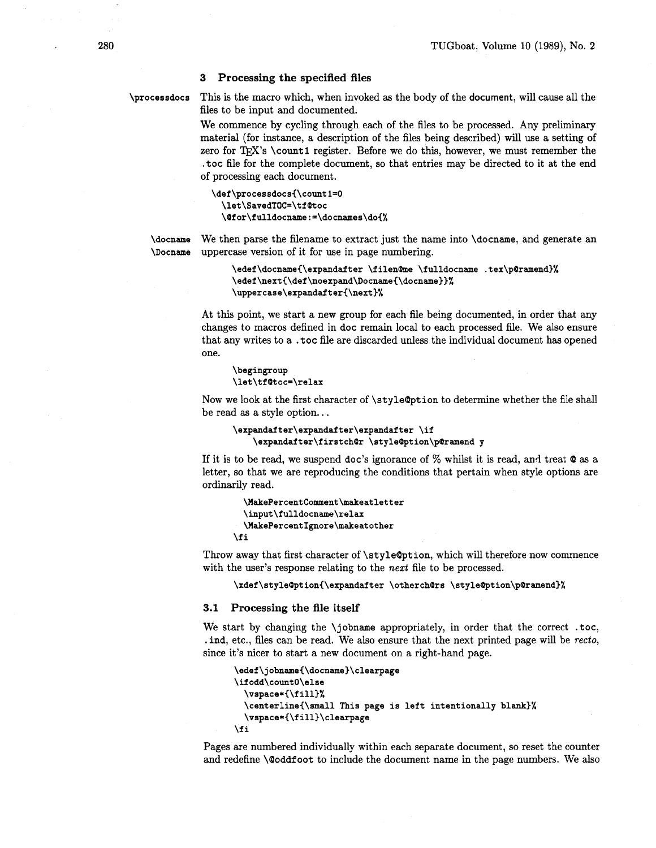# **3 Processing the specified files**

**\processdocs** This is the macro which, when invoked as the body of the document, will cause all the files to be input and documented.

> We commence by cycling through each of the files to be processed. Any preliminary material (for instance, a description of the files being described) will use a setting of zero for T $FX$ 's \count1 register. Before we do this, however, we must remember the .toc file for the complete document, so that entries may be directed to it at the end of processing each document.

```
\def \processdocs{\count 1=0 
  \let\SavedTOC=\tf Btoc 
  \Bfor\fulldocname:=\docnames\do{~
```
**\docname** We then parse the filename to extract just the name into \docname, and generate an **\Docname** uppercase version of it for use in page numbering.

> \edef\docname{\expandafter \filen@me \fulldocname .tex\p@ramend}% \edef\next{\def\noexpand\Docname{\docname}}%  $\verb|\uppercase\expandafter{\textrm#%}|$

At this point, we start a new group for each file being documented, in order that any changes to macros defined in doc remain local to each processed file. We also ensure that any writes to a . toc file are discarded unless the individual document has opened one.

```
\begingroup
\let\tf@toc=\relax
```
Now we look at the first character of \style@pt ion to determine whether the file shall be read as a style option.. .

```
\expandafter\expandaf ter\expandaf ter \if 
    \expandafter\firstchBr \style@ption\p@ramend y
```
If it is to be read, we suspend doc's ignorance of  $%$  whilst it is read, and treat  $Q$  as a letter, so that we are reproducing the conditions that pertain when style options are ordinarily read.

```
\MakePercentComment\makeatletter
 \input\fulldocname\relax
 \MakePercentIgnore\makeatother
\fi
```
Throw away that first character of \styleQption, which will therefore now commence with the user's response relating to the **next** file to be processed.

**\xdef \styleBption{\expandafter \otherchars \styleBption\pBramend)%** 

#### **3.1 Processing the file itself**

We start by changing the \jobname appropriately, in order that the correct .toc, . ind, etc., files can be read. We also ensure that the next printed page will be *recto,*  since it's nicer to start a new document on a right-hand page.

```
\edef\jobname~\docname)\clearpage 
\if odd\countO\else 
  \vspace*{\fill)% 
  \centerline{\small This page is left intentionally blank)% 
  \vspace*{\f ill)\clearpage 
\fi
```
Pages are numbered individually within each separate document, so reset the counter and redefine **\@oddfoot** to include the document name in the page numbers. We also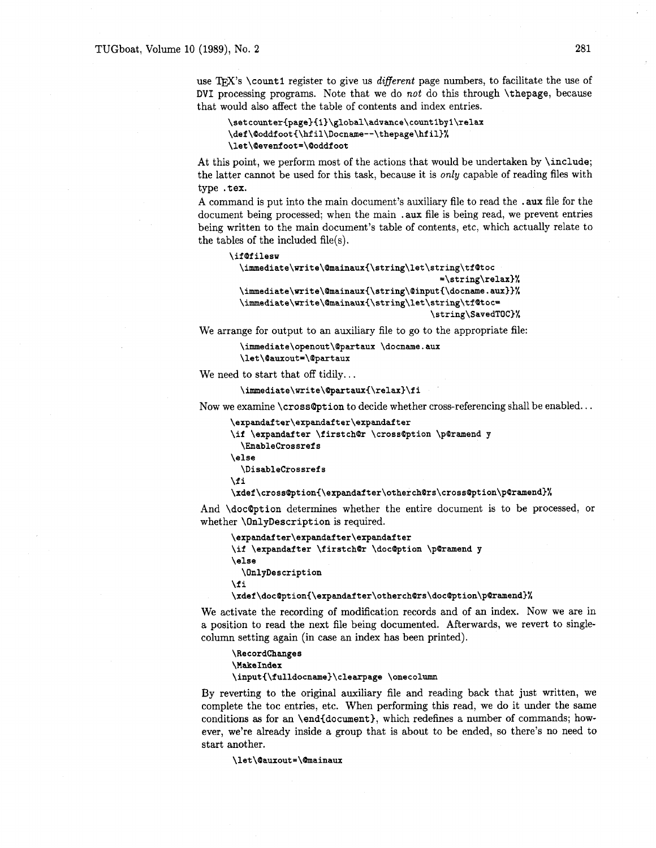use T<sub>F</sub>X's \count1 register to give us *different* page numbers, to facilitate the use of DVI processing programs. Note that we do *not* do this through \thepage, because that would also affect the table of contents and index entries.

```
\setcounter(page)-[1)\global\advance\countIbyl\relax 
\def\cOoddfooti\hfil\Docname--\thepage\hfil)% 
\let\~evenfoot=\@oddfoot
```
At this point, we perform most of the actions that would be undertaken by \include; the latter cannot be used for this task, because it is *only* capable of reading files with type .tex.

**<sup>A</sup>**command is put into the main document's auxiliary file to read the . aux file for the document being processed; when the main . aux file is being read, we prevent entries being written to the main document's table of contents, etc, which actually relate to the tables of the included file(s).

```
\if (Pf ilesu 
  \immediate\write\@mainaux{\string\let\string\tf@toc
                                            =\string\relax)% 
  \immediate\write\@mainaux(\string\@input{\docname. aux))% 
  \immediate\write\@mainaux{\string\let\string\tf@toc=
                                          \string\SavedTOC)%
```
We arrange for output to an auxiliary file to go to the appropriate file:

**\irnmediate\openout\@partaux \docname. aux \let\@auxout=\@partaux** 

We need to start that off tidily...

\immediate\write\@partaux{\relax}\fi

Now we examine \cross@ption to decide whether cross-referencing shall be enabled...

```
\expandafter\expandafter\expandafter
```
\if \expandafter \firstch@r \cross@ption \p@ramend **y** 

```
\Enablecrossrefs
```
**\else \Disablecrossrefs** 

**\fi** 

# \xdef\cross@ption{\expandafter\otherch@rs\cross@ption\p@ramend}%

And \doc@ption determines whether the entire document is to be processed, or whether \OnlyDescription is required.

```
\expandafter\expandaf ter\expandaf ter 
\if \expandafter \firstch@r \doc@ption \p@ramend y
\else 
  \OnlyDescription 
\fi
```
\xdef\doc@ption{\expandafter\otherch@rs\doc@ption\p@ramend}%

We activate the recording of modification records and of an index. Now we are in a position to read the next file being documented. Afterwards, we revert to singlecolumn setting again (in case an index has been printed).

**\RecordChanges \HakeIndex \input~\fulldocname)\clearpage \onecolumn** 

By reverting to the original auxiliary file and reading back that just written, we complete the toc entries, etc. When performing this read, we do it under the same conditions **as** for an \end{document), which redefines a number of commands; however, we're already inside a group that is about to be ended, so there's no need to start another.

**\let\@auxout=\@mainaux**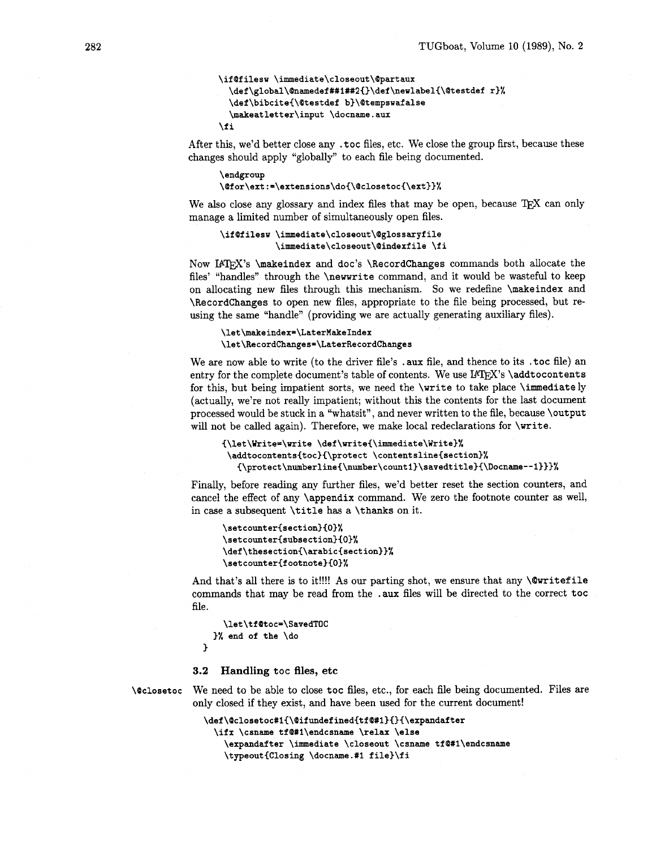```
\if@filesw \immediate\closeout\@partaux
  \def\global\@namedef##1##2{}\def\newlabel{\@testdef r}%
  \def\bibcite{\@testdef b}\@tempswafalse
  \makeatletter\input \docname.aux
\fi
```
After this, we'd better close any **.toc** files, etc. We close the group first, because these changes should apply "globally" to each file being documented.

\endgroup \@for\ext:=\extensions\do{\@closetoc{\ext}}%

We also close any glossary and index files that may be open, because T<sub>E</sub>X can only manage a limited number of simultaneously open files.

```
\ifOfilesw \immediate\closeout\Oglossaryfile 
           \immediate\closeout\aindexf ile \f i
```
Now IATEX's **\makeindex** and **doc's** *\RecordChanges* commands both allocate the files' "handles" through the **\newwrite** command, and it would be wasteful to keep on allocating new files through this mechanism. So we redefine **\makeindex** and **\Recordchanges** to open new files, appropriate to the file being processed, but reusing the same "handle" (providing we are actually generating auxiliary files).

# \let\makeindex=\LaterMakeIndex \let\RecordChanges=\LaterRecordChanges

We are now able to write (to the driver file's . **aux** file, and thence to its **.toc** file) an entry for the complete document's table of contents. We use IATEX's **\addtocontents** for this, but being impatient sorts, we need the **\write** to take place **\immediately**  (actually, we're not really impatient; without this the contents for the last document processed would be stuck in a "whatsit", and never written to the file, because **\output**  will not be called again). Therefore, we make local redeclarations for **\write.** 

```
{\let\Write=\write \def\write{\immediate\Write}%
 \addtocontents{toc}{\protect \contentsline{section}%
   {\protect\numberline{\number\count1}\savedtitle}{\Docname--1}}}%
```
Finally, before reading any further files, we'd better reset the section counters, and cancel the effect of any **\appendix** command. We zero the footnote counter as well, in case a subsequent **\title** has a **\thanks** on it.

```
\setcounter{section}{0}%
\setcounter{subsection}{0}%
\def\thesection{\arabic{section}}%
\setcounter{footnote}{0}%
```
And that's all there is to it!!!! As our parting shot, we ensure that any **\Qwritef ile**  commands that may be read from the **.aux** files will be directed to the correct **toc**  file.

```
\let\tf Otoc=\SavedTOC 
)% end of the \do
```
#### **3.2 Handling toc files, etc**

**3** 

**\@closetoc** We need to be able to close **toc** files, etc., for each file being documented. Files are only closed if they exist, and have been used for the current document!

```
\def\@closetoc#1{\@ifundefined{tf@#1}{}{\expandafter
  \ifx \csname tf@#1\endcsname \relax \else
    \expandafter \immediate \closeout \csname tf@#1\endcsname
    \typeout{Closing \docname.#1 file}\fi
```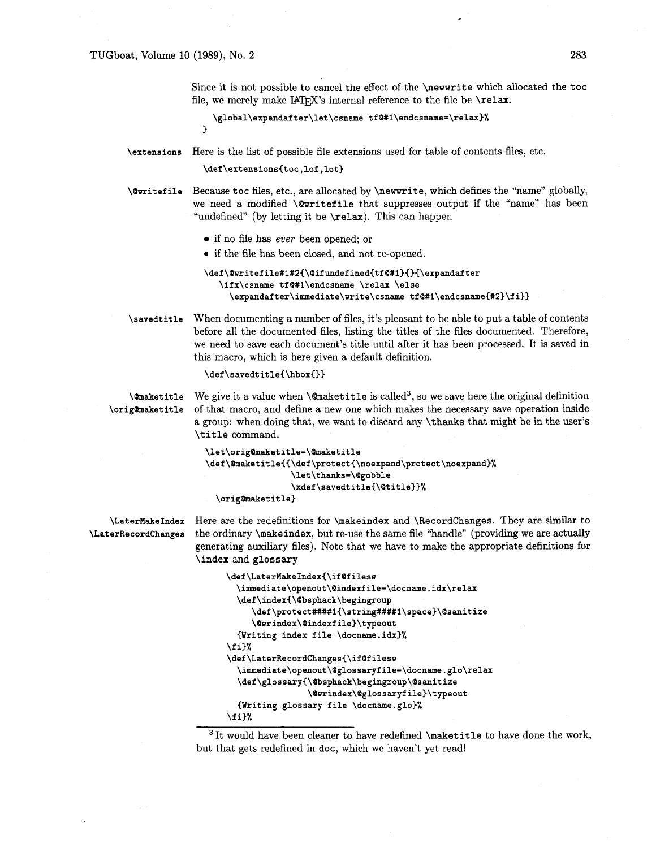Since it is not possible to cancel the effect of the \newwrite which allocated the toc file, we merely make IATEX's internal reference to the file be  $\relax$ .

```
\global\expandafter\let\csname tf@#1\endcsname=\relax}%
\mathbf{r}
```
**\extensions** Here is the list of possible file extensions used for table of contents files, etc.

\def\extensions{toc,lof,lot}

**\@writefile** Because toc files, etc., are allocated by \newwrite, which defines the "name" globally, we need a modified **\@writefile** that suppresses output if the "name" has been "undefined" (by letting it be  $\relax \relax \relax 0$ . This can happen

- if no file has **ever** been opened; or
- if the file has been closed, and not re-opened.

```
\def\@writefile#1#2{\@ifundefined{tf@#1}{}{\expandafter
   \ifx\csname tf@#1\endcsname \relax \else
     \expandafter\immediate\write\csname tf@#1\endcsname{#2}\fi}}
```
**\savedtitle** When documenting a number of files, it's pleasant to be able to put a table of contents before all the documented files, listing the titles of the files documented. Therefore, we need to save each document's title until after it has been processed. It is saved in this macro, which is here given a default definition.

**\def\savedtitle{\hbox{}3** 

**\@maketitle** We give it a value when **\@maketitle** is called<sup>3</sup>, so we save here the original definition **\orig@maketitle** of that macro, and define a new one which makes the necessary save operation inside a group: when doing that, we want to discard any \thanks that might be in the user's \title command.

```
\let\orig@maketitle=\@maketitle 
\def\@maketitle~{\def\protect{\noexpand\protect\noexpand)% 
                  \let\thanks=\@gobble 
                  \xdef \savedtitle{\@title))% 
 \orig@maket itle)
```
**\LaterMakeIndex** Here are the redefinitions for \makeindex and \RecordChanges. They are similar to **\LaterRecordChanges** the ordinary \makeindex, but re-use the same file "handle" (providing we are actually generating auxiliary files). Note that we have to make the appropriate definitions for \index and glossary

```
\def\LaterMakeIndex{\if@filesw 
  \immediate\openout\@indexfile=\docname.idx\relax 
  \def \index{\@bsphack\begingroup 
     \def\protect####1{\string####1\space}\@sanitize
     \Burindex\Bindexfile)\typeout 
  {Writing index file \docname.idx)% 
\f i3% 
\def \LaterRecordChanges{\if @f ilesw 
  \immediate\openout\@glossaryfile=\docname.glo\relax 
  \def \glossary~\@bsphack\begingroup\@sanitize 
                 \@wrindex\@glossaryf ile)\typeout 
  {Writing glossary file \docname.glo)% 
\f il%
```
 $3$  It would have been cleaner to have redefined \maketitle to have done the work, but that gets redefined in doc, which we haven't yet read!